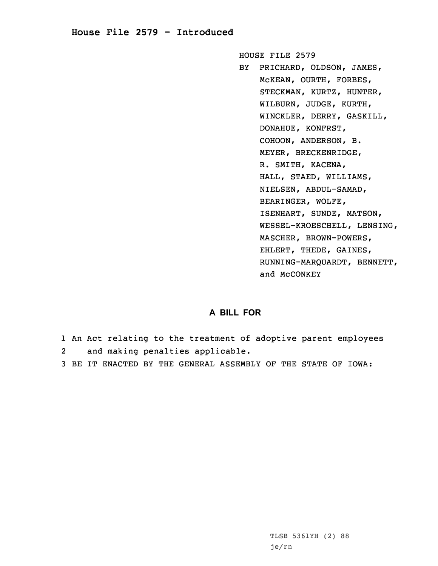## **House File 2579 - Introduced**

HOUSE FILE 2579

BY PRICHARD, OLDSON, JAMES, McKEAN, OURTH, FORBES, STECKMAN, KURTZ, HUNTER, WILBURN, JUDGE, KURTH, WINCKLER, DERRY, GASKILL, DONAHUE, KONFRST, COHOON, ANDERSON, B. MEYER, BRECKENRIDGE, R. SMITH, KACENA, HALL, STAED, WILLIAMS, NIELSEN, ABDUL-SAMAD, BEARINGER, WOLFE, ISENHART, SUNDE, MATSON, WESSEL-KROESCHELL, LENSING, MASCHER, BROWN-POWERS, EHLERT, THEDE, GAINES, RUNNING-MARQUARDT, BENNETT, and McCONKEY

## **A BILL FOR**

- 1 An Act relating to the treatment of adoptive parent employees 2and making penalties applicable.
- 3 BE IT ENACTED BY THE GENERAL ASSEMBLY OF THE STATE OF IOWA: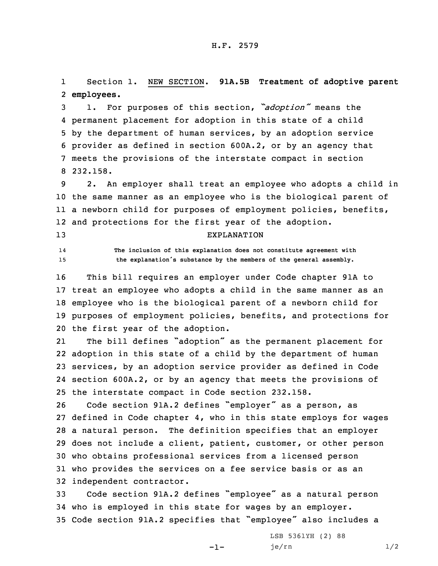1 Section 1. NEW SECTION. **91A.5B Treatment of adoptive parent** 2 **employees.**

 1. For purposes of this section, *"adoption"* means the permanent placement for adoption in this state of <sup>a</sup> child by the department of human services, by an adoption service provider as defined in section 600A.2, or by an agency that meets the provisions of the interstate compact in section 8 232.158.

 2. An employer shall treat an employee who adopts <sup>a</sup> child in the same manner as an employee who is the biological parent of <sup>a</sup> newborn child for purposes of employment policies, benefits, and protections for the first year of the adoption.

13 EXPLANATION

14

 **The inclusion of this explanation does not constitute agreement with** <sup>15</sup> **the explanation's substance by the members of the general assembly.**

 This bill requires an employer under Code chapter 91A to treat an employee who adopts <sup>a</sup> child in the same manner as an employee who is the biological parent of <sup>a</sup> newborn child for purposes of employment policies, benefits, and protections for the first year of the adoption.

21 The bill defines "adoption" as the permanent placement for adoption in this state of <sup>a</sup> child by the department of human services, by an adoption service provider as defined in Code section 600A.2, or by an agency that meets the provisions of the interstate compact in Code section 232.158.

 Code section 91A.2 defines "employer" as <sup>a</sup> person, as defined in Code chapter 4, who in this state employs for wages <sup>a</sup> natural person. The definition specifies that an employer does not include <sup>a</sup> client, patient, customer, or other person who obtains professional services from <sup>a</sup> licensed person who provides the services on <sup>a</sup> fee service basis or as an independent contractor.

<sup>33</sup> Code section 91A.2 defines "employee" as <sup>a</sup> natural person 34 who is employed in this state for wages by an employer. <sup>35</sup> Code section 91A.2 specifies that "employee" also includes <sup>a</sup>

-1-

LSB 5361YH (2) 88 je/rn 1/2